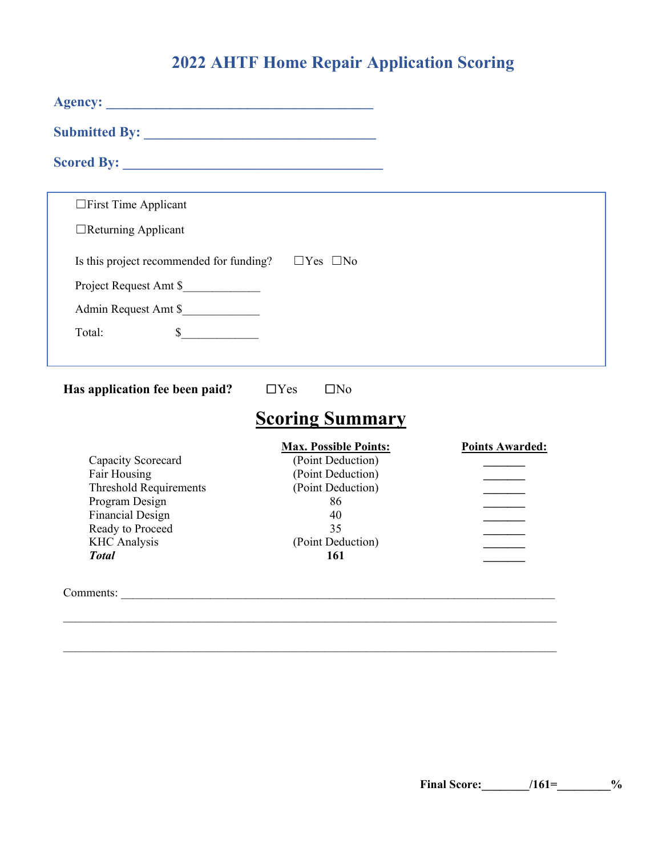# **2022 AHTF Home Repair Application Scoring**

| □First Time Applicant                                               |                              |                        |
|---------------------------------------------------------------------|------------------------------|------------------------|
| $\Box$ Returning Applicant                                          |                              |                        |
| Is this project recommended for funding? $\square$ Yes $\square$ No |                              |                        |
| Project Request Amt \$                                              |                              |                        |
| Admin Request Amt \$                                                |                              |                        |
| $\mathbb{S}$<br>Total:                                              |                              |                        |
| Has application fee been paid?                                      | $\Box$ No<br>$\Box$ Yes      |                        |
|                                                                     | <b>Scoring Summary</b>       |                        |
|                                                                     | <b>Max. Possible Points:</b> | <b>Points Awarded:</b> |
| Capacity Scorecard                                                  | (Point Deduction)            |                        |
| Fair Housing<br><b>Threshold Requirements</b>                       | (Point Deduction)            |                        |
| Program Design                                                      | (Point Deduction)<br>86      |                        |
| <b>Financial Design</b>                                             | 40                           |                        |
| Ready to Proceed                                                    | 35                           |                        |
| <b>KHC</b> Analysis                                                 | (Point Deduction)            |                        |
| <b>Total</b>                                                        | 161                          |                        |
|                                                                     |                              |                        |
|                                                                     |                              |                        |

 $\_$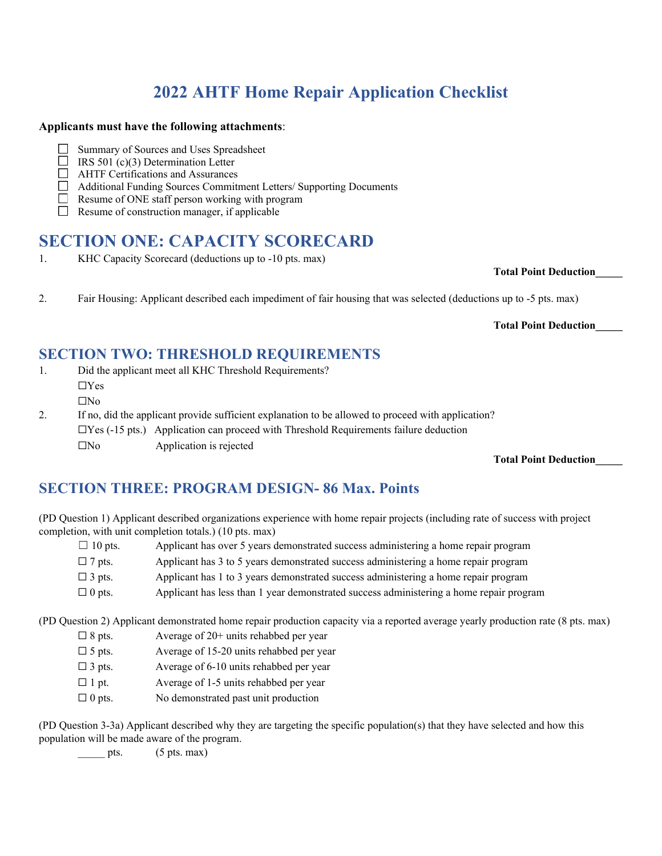# **2022 AHTF Home Repair Application Checklist**

### **Applicants must have the following attachments**:

- Summary of Sources and Uses Spreadsheet  $\Box$
- IRS 501 (c)(3) Determination Letter
- **EXECUTE:** AHTF Certifications and Assurances
- Additional Funding Sources Commitment Letters/ Supporting Documents
	- Resume of ONE staff person working with program
- П Resume of construction manager, if applicable

# **SECTION ONE: CAPACITY SCORECARD**

1. KHC Capacity Scorecard (deductions up to -10 pts. max)

#### **Total Point Deduction\_\_\_\_\_**

2. Fair Housing: Applicant described each impediment of fair housing that was selected (deductions up to -5 pts. max)

#### **Total Point Deduction\_\_\_\_\_**

## **SECTION TWO: THRESHOLD REQUIREMENTS**

- 1. Did the applicant meet all KHC Threshold Requirements?
	- ☐Yes
	- $\Box$ No
- 2. If no, did the applicant provide sufficient explanation to be allowed to proceed with application?

 $\Box$ Yes (-15 pts.) Application can proceed with Threshold Requirements failure deduction

 $\square$ No Application is rejected

### **Total Point Deduction\_\_\_\_\_**

# **SECTION THREE: PROGRAM DESIGN- 86 Max. Points**

(PD Question 1) Applicant described organizations experience with home repair projects (including rate of success with project completion, with unit completion totals.) (10 pts. max)

- $\Box$  10 pts. Applicant has over 5 years demonstrated success administering a home repair program  $\square$  7 pts. Applicant has 3 to 5 years demonstrated success administering a home repair program  $\Box$  3 pts. Applicant has 1 to 3 years demonstrated success administering a home repair program
- $\Box$  0 pts. Applicant has less than 1 year demonstrated success administering a home repair program

(PD Question 2) Applicant demonstrated home repair production capacity via a reported average yearly production rate (8 pts. max)

- $\Box$  8 pts. Average of 20+ units rehabbed per year
- $\square$  5 pts. Average of 15-20 units rehabbed per year
- $\Box$  3 pts. Average of 6-10 units rehabbed per year
- $\Box$  1 pt. Average of 1-5 units rehabbed per year
- $\Box$  0 pts. No demonstrated past unit production

(PD Question 3-3a) Applicant described why they are targeting the specific population(s) that they have selected and how this population will be made aware of the program.

pts.  $(5 \text{ pts. max})$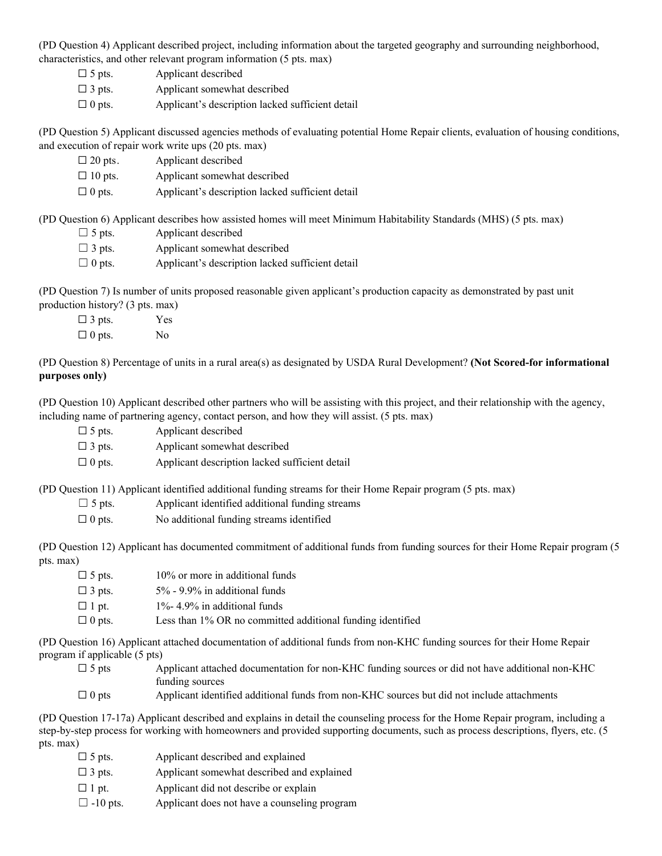(PD Question 4) Applicant described project, including information about the targeted geography and surrounding neighborhood, characteristics, and other relevant program information (5 pts. max)

- $\square$  5 pts. Applicant described  $\Box$  3 pts. Applicant somewhat described
- $\Box$  0 pts. Applicant's description lacked sufficient detail

(PD Question 5) Applicant discussed agencies methods of evaluating potential Home Repair clients, evaluation of housing conditions, and execution of repair work write ups (20 pts. max)

| $\Box$ 20 pts. | Applicant described                              |
|----------------|--------------------------------------------------|
| $\Box$ 10 pts. | Applicant somewhat described                     |
| $\Box$ 0 pts.  | Applicant's description lacked sufficient detail |

(PD Question 6) Applicant describes how assisted homes will meet Minimum Habitability Standards (MHS) (5 pts. max)

| $\Box$ 5 pts. | Applicant described                              |
|---------------|--------------------------------------------------|
| $\Box$ 3 pts. | Applicant somewhat described                     |
| $\Box$ 0 pts. | Applicant's description lacked sufficient detail |

(PD Question 7) Is number of units proposed reasonable given applicant's production capacity as demonstrated by past unit production history? (3 pts. max)

| $\Box$ 3 pts. | <b>Yes</b>     |
|---------------|----------------|
| $\Box$ 0 pts. | N <sub>0</sub> |

(PD Question 8) Percentage of units in a rural area(s) as designated by USDA Rural Development? **(Not Scored-for informational purposes only)**

(PD Question 10) Applicant described other partners who will be assisting with this project, and their relationship with the agency, including name of partnering agency, contact person, and how they will assist. (5 pts. max)

| $\Box$ 5 pts. | Applicant described          |
|---------------|------------------------------|
| $\Box$ 3 pts. | Applicant somewhat described |

 $\Box$  0 pts. Applicant description lacked sufficient detail

(PD Question 11) Applicant identified additional funding streams for their Home Repair program (5 pts. max)

| $\Box$ 5 pts. | Applicant identified additional funding streams |
|---------------|-------------------------------------------------|
|---------------|-------------------------------------------------|

 $\Box$  0 pts. No additional funding streams identified

(PD Question 12) Applicant has documented commitment of additional funds from funding sources for their Home Repair program (5 pts. max)

| $\Box$ 5 pts. | 10% or more in additional funds                            |
|---------------|------------------------------------------------------------|
| $\Box$ 3 pts. | $5\%$ - 9.9% in additional funds                           |
| $\Box$ 1 pt.  | $1\%$ - 4.9% in additional funds                           |
| $\Box$ 0 pts. | Less than 1% OR no committed additional funding identified |

(PD Question 16) Applicant attached documentation of additional funds from non-KHC funding sources for their Home Repair program if applicable (5 pts)

- $\square$  5 pts Applicant attached documentation for non-KHC funding sources or did not have additional non-KHC funding sources
- $\Box$  0 pts Applicant identified additional funds from non-KHC sources but did not include attachments

(PD Question 17-17a) Applicant described and explains in detail the counseling process for the Home Repair program, including a step-by-step process for working with homeowners and provided supporting documents, such as process descriptions, flyers, etc. (5 pts. max)

 $\square$  5 pts. Applicant described and explained  $\Box$  3 pts. Applicant somewhat described and explained  $\Box$  1 pt. Applicant did not describe or explain  $\Box$  -10 pts. Applicant does not have a counseling program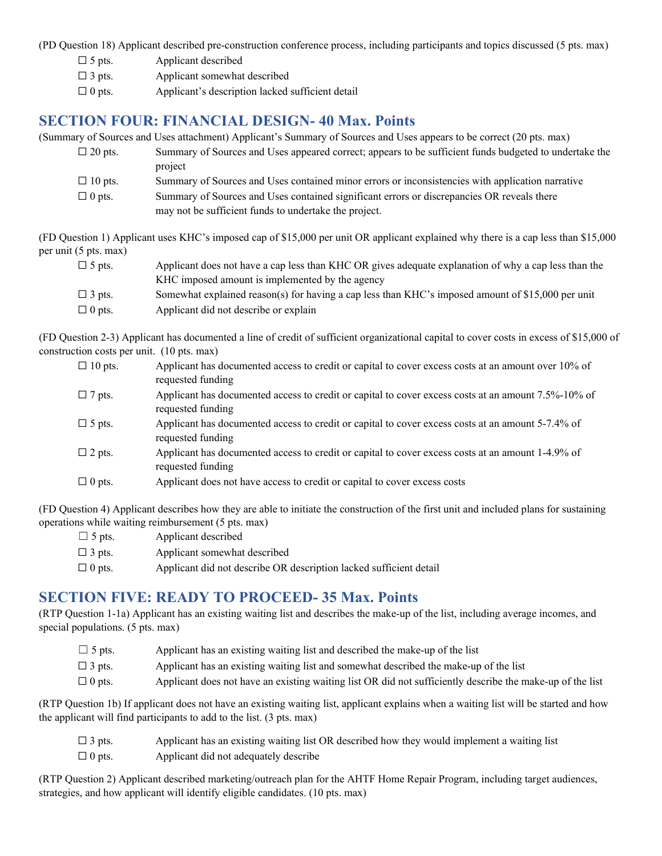(PD Question 18) Applicant described pre-construction conference process, including participants and topics discussed (5 pts. max)

| $\Box$ 5 pts. | Applicant described                              |
|---------------|--------------------------------------------------|
| $\Box$ 3 pts. | Applicant somewhat described                     |
| $\Box$ 0 pts. | Applicant's description lacked sufficient detail |

## **SECTION FOUR: FINANCIAL DESIGN- 40 Max. Points**

(Summary of Sources and Uses attachment) Applicant's Summary of Sources and Uses appears to be correct (20 pts. max)

- □ 20 pts. Summary of Sources and Uses appeared correct; appears to be sufficient funds budgeted to undertake the project
	- $\Box$  10 pts. Summary of Sources and Uses contained minor errors or inconsistencies with application narrative
	- $\Box$  0 pts. Summary of Sources and Uses contained significant errors or discrepancies OR reveals there may not be sufficient funds to undertake the project.

(FD Question 1) Applicant uses KHC's imposed cap of \$15,000 per unit OR applicant explained why there is a cap less than \$15,000 per unit (5 pts. max)

| $\Box$ 5 pts. | Applicant does not have a cap less than KHC OR gives adequate explanation of why a cap less than the |
|---------------|------------------------------------------------------------------------------------------------------|
|               | KHC imposed amount is implemented by the agency                                                      |
| $\Box$ 3 pts. | Somewhat explained reason(s) for having a cap less than KHC's imposed amount of \$15,000 per unit    |
| $\Box$ 0 pts. | Applicant did not describe or explain                                                                |

(FD Question 2-3) Applicant has documented a line of credit of sufficient organizational capital to cover costs in excess of \$15,000 of construction costs per unit. (10 pts. max)

| $\Box$ 10 pts. | Applicant has documented access to credit or capital to cover excess costs at an amount over 10% of<br>requested funding |
|----------------|--------------------------------------------------------------------------------------------------------------------------|
| $\Box$ 7 pts.  | Applicant has documented access to credit or capital to cover excess costs at an amount 7.5%-10% of<br>requested funding |
| $\Box$ 5 pts.  | Applicant has documented access to credit or capital to cover excess costs at an amount 5-7.4% of<br>requested funding   |
| $\Box$ 2 pts.  | Applicant has documented access to credit or capital to cover excess costs at an amount 1-4.9% of<br>requested funding   |
| $\Box$ 0 pts.  | Applicant does not have access to credit or capital to cover excess costs                                                |

(FD Question 4) Applicant describes how they are able to initiate the construction of the first unit and included plans for sustaining operations while waiting reimbursement (5 pts. max)

| $\Box$ 5 pts. | Applicant described                                                |
|---------------|--------------------------------------------------------------------|
| $\Box$ 3 pts. | Applicant somewhat described                                       |
| $\Box$ 0 pts. | Applicant did not describe OR description lacked sufficient detail |

## **SECTION FIVE: READY TO PROCEED- 35 Max. Points**

(RTP Question 1-1a) Applicant has an existing waiting list and describes the make-up of the list, including average incomes, and special populations. (5 pts. max)

| $\Box$ 5 pts. | Applicant has an existing waiting list and described the make-up of the list                              |
|---------------|-----------------------------------------------------------------------------------------------------------|
| $\Box$ 3 pts. | Applicant has an existing waiting list and somewhat described the make-up of the list                     |
| $\Box$ 0 pts. | Applicant does not have an existing waiting list OR did not sufficiently describe the make-up of the list |

(RTP Question 1b) If applicant does not have an existing waiting list, applicant explains when a waiting list will be started and how the applicant will find participants to add to the list. (3 pts. max)

| $\Box$ 3 pts. | Applicant has an existing waiting list OR described how they would implement a waiting list |
|---------------|---------------------------------------------------------------------------------------------|
| $\Box$ 0 pts. | Applicant did not adequately describe                                                       |

(RTP Question 2) Applicant described marketing/outreach plan for the AHTF Home Repair Program, including target audiences, strategies, and how applicant will identify eligible candidates. (10 pts. max)